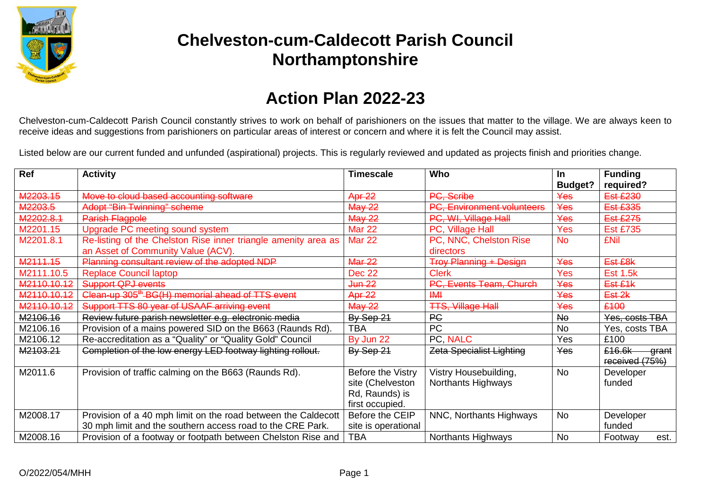

# **Chelveston-cum-Caldecott Parish Council Northamptonshire**

### **Action Plan 2022-23**

Chelveston-cum-Caldecott Parish Council constantly strives to work on behalf of parishioners on the issues that matter to the village. We are always keen to receive ideas and suggestions from parishioners on particular areas of interest or concern and where it is felt the Council may assist.

Listed below are our current funded and unfunded (aspirational) projects. This is regularly reviewed and updated as projects finish and priorities change.

| Ref         | <b>Activity</b>                                                                                      | <b>Timescale</b>    | Who                                 | <b>In</b>             | <b>Funding</b><br>required?       |
|-------------|------------------------------------------------------------------------------------------------------|---------------------|-------------------------------------|-----------------------|-----------------------------------|
| M2203.15    | Move to cloud based accounting software                                                              | Apr 22              | PC, Scribe                          | <b>Budget?</b><br>Yes | <b>Est £230</b>                   |
| M2203.5     | <b>Adopt "Bin Twinning" scheme</b>                                                                   | <b>May 22</b>       | <b>Environment volunteers</b>       | Yes                   | <b>Est £335</b>                   |
| M2202.8.1   | <b>Parish Flagpole</b>                                                                               | <b>May 22</b>       | PC, WI, Village Hall                | Yes                   | <b>Est £275</b>                   |
| M2201.15    | Upgrade PC meeting sound system                                                                      | <b>Mar 22</b>       | PC, Village Hall                    | Yes                   | <b>Est £735</b>                   |
| M2201.8.1   | Re-listing of the Chelston Rise inner triangle amenity area as<br>an Asset of Community Value (ACV). | <b>Mar 22</b>       | PC, NNC, Chelston Rise<br>directors | <b>No</b>             | <b>£Nil</b>                       |
| M2111.15    | Planning consultant review of the adopted NDP                                                        | <b>Mar 22</b>       | <b>Troy Planning + Design</b>       | Yes                   | Est £8k                           |
| M2111.10.5  | <b>Replace Council laptop</b>                                                                        | <b>Dec 22</b>       | <b>Clerk</b>                        | Yes                   | <b>Est 1.5k</b>                   |
| M2110.10.12 | <b>Support QPJ events</b>                                                                            | <del>Jun 22</del>   | PC, Events Team, Church             | Yes                   | Est £1k                           |
| M2110.10.12 | Clean-up 305 <sup>th</sup> -BG(H) memorial ahead of TTS event                                        | Apr 22              | H M                                 | Yes                   | Est-2k                            |
| M2110.10.12 | Support TTS 80 year of USAAF arriving event                                                          | <b>May 22</b>       | <b>TTS, Village Hall</b>            | Yes                   | £100                              |
| M2106.16    | Review future parish newsletter e.g. electronic media                                                | By Sep 21           | <b>PC</b>                           | <b>No</b>             | Yes, costs TBA                    |
| M2106.16    | Provision of a mains powered SID on the B663 (Raunds Rd).                                            | <b>TBA</b>          | <b>PC</b>                           | <b>No</b>             | Yes, costs TBA                    |
| M2106.12    | Re-accreditation as a "Quality" or "Quality Gold" Council                                            | By Jun 22           | PC NALC                             | Yes                   | £100                              |
| M2103.21    | Completion of the low energy LED footway lighting rollout.                                           | By Sep 21           | <b>Zeta Specialist Lighting</b>     | Yes                   | £16.6k<br>grant<br>received (75%) |
| M2011.6     | Provision of traffic calming on the B663 (Raunds Rd).                                                | Before the Vistry   | Vistry Housebuilding,               | <b>No</b>             | Developer                         |
|             |                                                                                                      | site (Chelveston    | <b>Northants Highways</b>           |                       | funded                            |
|             |                                                                                                      | Rd, Raunds) is      |                                     |                       |                                   |
|             |                                                                                                      | first occupied.     |                                     |                       |                                   |
| M2008.17    | Provision of a 40 mph limit on the road between the Caldecott                                        | Before the CEIP     | NNC, Northants Highways             | <b>No</b>             | Developer                         |
|             | 30 mph limit and the southern access road to the CRE Park.                                           | site is operational |                                     |                       | funded                            |
| M2008.16    | Provision of a footway or footpath between Chelston Rise and                                         | TBA                 | Northants Highways                  | <b>No</b>             | Footway<br>est.                   |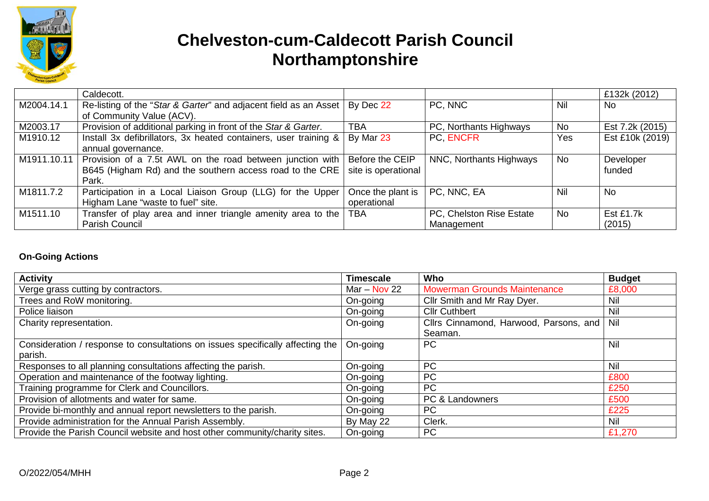

# **Chelveston-cum-Caldecott Parish Council Northamptonshire**

|             | Caldecott.                                                       |                     |                          |           | £132k (2012)    |
|-------------|------------------------------------------------------------------|---------------------|--------------------------|-----------|-----------------|
| M2004.14.1  | Re-listing of the "Star & Garter" and adjacent field as an Asset | By Dec 22           | PC, NNC                  | Nil       | No.             |
|             | of Community Value (ACV).                                        |                     |                          |           |                 |
| M2003.17    | Provision of additional parking in front of the Star & Garter.   | <b>TBA</b>          | PC, Northants Highways   | No        | Est 7.2k (2015) |
| M1910.12    | Install 3x defibrillators, 3x heated containers, user training & | By Mar 23           | PC ENCFR                 | Yes       | Est £10k (2019) |
|             | annual governance.                                               |                     |                          |           |                 |
| M1911.10.11 | Provision of a 7.5t AWL on the road between junction with        | Before the CEIP     | NNC, Northants Highways  | <b>No</b> | Developer       |
|             | B645 (Higham Rd) and the southern access road to the CRE         | site is operational |                          |           | funded          |
|             | Park.                                                            |                     |                          |           |                 |
| M1811.7.2   | Participation in a Local Liaison Group (LLG) for the Upper       | Once the plant is   | PC, NNC, EA              | Nil       | <b>No</b>       |
|             | Higham Lane "waste to fuel" site.                                | operational         |                          |           |                 |
| M1511.10    | Transfer of play area and inner triangle amenity area to the     | <b>TBA</b>          | PC, Chelston Rise Estate | <b>No</b> | Est £1.7k       |
|             | Parish Council                                                   |                     | Management               |           | (2015)          |

#### **On-Going Actions**

| <b>Activity</b>                                                                | <b>Timescale</b> | Who                                    | <b>Budget</b> |
|--------------------------------------------------------------------------------|------------------|----------------------------------------|---------------|
| Verge grass cutting by contractors.                                            | Mar $-$ Nov 22   | <b>Mowerman Grounds Maintenance</b>    | £8,000        |
| Trees and RoW monitoring.                                                      | On-going         | Cllr Smith and Mr Ray Dyer.            | Nil           |
| Police liaison                                                                 | On-going         | <b>Cllr Cuthbert</b>                   | Nil           |
| Charity representation.                                                        | On-going         | Cllrs Cinnamond, Harwood, Parsons, and | Nil           |
|                                                                                |                  | Seaman.                                |               |
| Consideration / response to consultations on issues specifically affecting the | On-going         | <b>PC</b>                              | Nil           |
| parish.                                                                        |                  |                                        |               |
| Responses to all planning consultations affecting the parish.                  | On-going         | <b>PC</b>                              | <b>Nil</b>    |
| Operation and maintenance of the footway lighting.                             | On-going         | <b>PC</b>                              | £800          |
| Training programme for Clerk and Councillors.                                  | On-going         | <b>PC</b>                              | £250          |
| Provision of allotments and water for same.                                    | On-going         | PC & Landowners                        | £500          |
| Provide bi-monthly and annual report newsletters to the parish.                | On-going         | <b>PC</b>                              | £225          |
| Provide administration for the Annual Parish Assembly.                         | By May 22        | Clerk.                                 | Nil           |
| Provide the Parish Council website and host other community/charity sites.     | On-going         | <b>PC</b>                              | £1,270        |